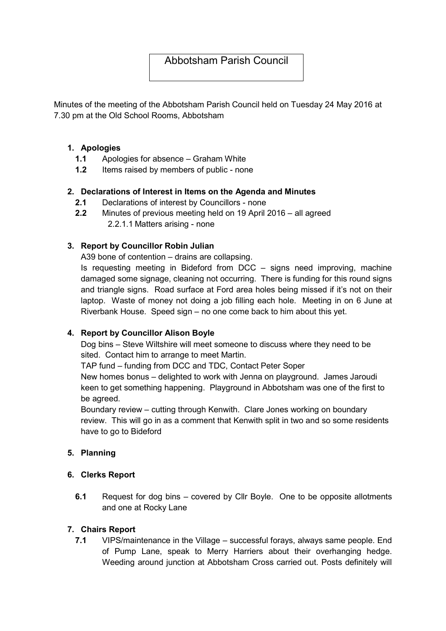# Abbotsham Parish Council

Minutes of the meeting of the Abbotsham Parish Council held on Tuesday 24 May 2016 at 7.30 pm at the Old School Rooms, Abbotsham

## 1. Apologies

- 1.1 Apologies for absence Graham White
- 1.2 Items raised by members of public none

## 2. Declarations of Interest in Items on the Agenda and Minutes

- 2.1 Declarations of interest by Councillors none
- 2.2 Minutes of previous meeting held on 19 April 2016 all agreed 2.2.1.1 Matters arising - none

# 3. Report by Councillor Robin Julian

A39 bone of contention – drains are collapsing.

Is requesting meeting in Bideford from DCC – signs need improving, machine damaged some signage, cleaning not occurring. There is funding for this round signs and triangle signs. Road surface at Ford area holes being missed if it's not on their laptop. Waste of money not doing a job filling each hole. Meeting in on 6 June at Riverbank House. Speed sign – no one come back to him about this yet.

# 4. Report by Councillor Alison Boyle

Dog bins – Steve Wiltshire will meet someone to discuss where they need to be sited. Contact him to arrange to meet Martin.

TAP fund – funding from DCC and TDC, Contact Peter Soper

New homes bonus – delighted to work with Jenna on playground. James Jaroudi keen to get something happening. Playground in Abbotsham was one of the first to be agreed.

Boundary review – cutting through Kenwith. Clare Jones working on boundary review. This will go in as a comment that Kenwith split in two and so some residents have to go to Bideford

# 5. Planning

#### 6. Clerks Report

6.1 Request for dog bins – covered by Cllr Boyle. One to be opposite allotments and one at Rocky Lane

# 7. Chairs Report

7.1 VIPS/maintenance in the Village – successful forays, always same people. End of Pump Lane, speak to Merry Harriers about their overhanging hedge. Weeding around junction at Abbotsham Cross carried out. Posts definitely will